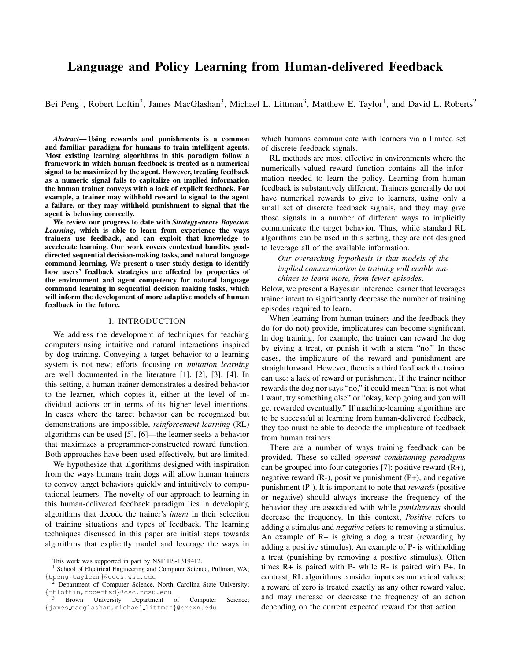# Language and Policy Learning from Human-delivered Feedback

Bei Peng<sup>1</sup>, Robert Loftin<sup>2</sup>, James MacGlashan<sup>3</sup>, Michael L. Littman<sup>3</sup>, Matthew E. Taylor<sup>1</sup>, and David L. Roberts<sup>2</sup>

*Abstract*— Using rewards and punishments is a common and familiar paradigm for humans to train intelligent agents. Most existing learning algorithms in this paradigm follow a framework in which human feedback is treated as a numerical signal to be maximized by the agent. However, treating feedback as a numeric signal fails to capitalize on implied information the human trainer conveys with a lack of explicit feedback. For example, a trainer may withhold reward to signal to the agent a failure, or they may withhold punishment to signal that the agent is behaving correctly.

We review our progress to date with *Strategy-aware Bayesian Learning*, which is able to learn from experience the ways trainers use feedback, and can exploit that knowledge to accelerate learning. Our work covers contextual bandits, goaldirected sequential decision-making tasks, and natural language command learning. We present a user study design to identify how users' feedback strategies are affected by properties of the environment and agent competency for natural language command learning in sequential decision making tasks, which will inform the development of more adaptive models of human feedback in the future.

#### I. INTRODUCTION

We address the development of techniques for teaching computers using intuitive and natural interactions inspired by dog training. Conveying a target behavior to a learning system is not new; efforts focusing on *imitation learning* are well documented in the literature [1], [2], [3], [4]. In this setting, a human trainer demonstrates a desired behavior to the learner, which copies it, either at the level of individual actions or in terms of its higher level intentions. In cases where the target behavior can be recognized but demonstrations are impossible, *reinforcement-learning* (RL) algorithms can be used [5], [6]—the learner seeks a behavior that maximizes a programmer-constructed reward function. Both approaches have been used effectively, but are limited.

We hypothesize that algorithms designed with inspiration from the ways humans train dogs will allow human trainers to convey target behaviors quickly and intuitively to computational learners. The novelty of our approach to learning in this human-delivered feedback paradigm lies in developing algorithms that decode the trainer's *intent* in their selection of training situations and types of feedback. The learning techniques discussed in this paper are initial steps towards algorithms that explicitly model and leverage the ways in

which humans communicate with learners via a limited set of discrete feedback signals.

RL methods are most effective in environments where the numerically-valued reward function contains all the information needed to learn the policy. Learning from human feedback is substantively different. Trainers generally do not have numerical rewards to give to learners, using only a small set of discrete feedback signals, and they may give those signals in a number of different ways to implicitly communicate the target behavior. Thus, while standard RL algorithms can be used in this setting, they are not designed to leverage all of the available information.

*Our overarching hypothesis is that models of the implied communication in training will enable machines to learn more, from fewer episodes*.

Below, we present a Bayesian inference learner that leverages trainer intent to significantly decrease the number of training episodes required to learn.

When learning from human trainers and the feedback they do (or do not) provide, implicatures can become significant. In dog training, for example, the trainer can reward the dog by giving a treat, or punish it with a stern "no." In these cases, the implicature of the reward and punishment are straightforward. However, there is a third feedback the trainer can use: a lack of reward or punishment. If the trainer neither rewards the dog nor says "no," it could mean "that is not what I want, try something else" or "okay, keep going and you will get rewarded eventually." If machine-learning algorithms are to be successful at learning from human-delivered feedback, they too must be able to decode the implicature of feedback from human trainers.

There are a number of ways training feedback can be provided. These so-called *operant conditioning paradigms* can be grouped into four categories [7]: positive reward (R+), negative reward  $(R)$ , positive punishment  $(P+)$ , and negative punishment (P-). It is important to note that *rewards* (positive or negative) should always increase the frequency of the behavior they are associated with while *punishments* should decrease the frequency. In this context, *Positive* refers to adding a stimulus and *negative* refers to removing a stimulus. An example of R+ is giving a dog a treat (rewarding by adding a positive stimulus). An example of P- is withholding a treat (punishing by removing a positive stimulus). Often times R+ is paired with P- while R- is paired with P+. In contrast, RL algorithms consider inputs as numerical values; a reward of zero is treated exactly as any other reward value, and may increase or decrease the frequency of an action depending on the current expected reward for that action.

This work was supported in part by NSF IIS-1319412.

<sup>&</sup>lt;sup>1</sup> School of Electrical Engineering and Computer Science, Pullman, WA; {bpeng,taylorm}@eecs.wsu.edu

<sup>&</sup>lt;sup>2</sup> Department of Computer Science, North Carolina State University; {rtloftin,robertsd}@csc.ncsu.edu<br>3 Resume II

Brown University Department of Computer Science; {james macglashan,michael littman}@brown.edu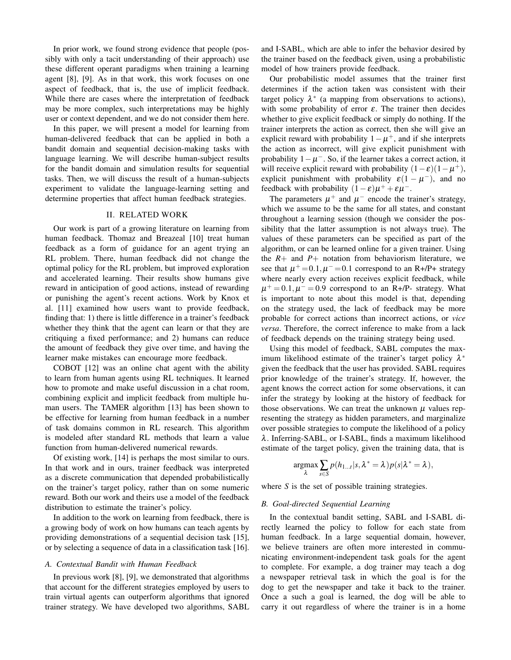In prior work, we found strong evidence that people (possibly with only a tacit understanding of their approach) use these different operant paradigms when training a learning agent [8], [9]. As in that work, this work focuses on one aspect of feedback, that is, the use of implicit feedback. While there are cases where the interpretation of feedback may be more complex, such interpretations may be highly user or context dependent, and we do not consider them here.

In this paper, we will present a model for learning from human-delivered feedback that can be applied in both a bandit domain and sequential decision-making tasks with language learning. We will describe human-subject results for the bandit domain and simulation results for sequential tasks. Then, we will discuss the result of a human-subjects experiment to validate the language-learning setting and determine properties that affect human feedback strategies.

#### II. RELATED WORK

Our work is part of a growing literature on learning from human feedback. Thomaz and Breazeal [10] treat human feedback as a form of guidance for an agent trying an RL problem. There, human feedback did not change the optimal policy for the RL problem, but improved exploration and accelerated learning. Their results show humans give reward in anticipation of good actions, instead of rewarding or punishing the agent's recent actions. Work by Knox et al. [11] examined how users want to provide feedback, finding that: 1) there is little difference in a trainer's feedback whether they think that the agent can learn or that they are critiquing a fixed performance; and 2) humans can reduce the amount of feedback they give over time, and having the learner make mistakes can encourage more feedback.

COBOT [12] was an online chat agent with the ability to learn from human agents using RL techniques. It learned how to promote and make useful discussion in a chat room, combining explicit and implicit feedback from multiple human users. The TAMER algorithm [13] has been shown to be effective for learning from human feedback in a number of task domains common in RL research. This algorithm is modeled after standard RL methods that learn a value function from human-delivered numerical rewards.

Of existing work, [14] is perhaps the most similar to ours. In that work and in ours, trainer feedback was interpreted as a discrete communication that depended probabilistically on the trainer's target policy, rather than on some numeric reward. Both our work and theirs use a model of the feedback distribution to estimate the trainer's policy.

In addition to the work on learning from feedback, there is a growing body of work on how humans can teach agents by providing demonstrations of a sequential decision task [15], or by selecting a sequence of data in a classification task [16].

## *A. Contextual Bandit with Human Feedback*

In previous work [8], [9], we demonstrated that algorithms that account for the different strategies employed by users to train virtual agents can outperform algorithms that ignored trainer strategy. We have developed two algorithms, SABL and I-SABL, which are able to infer the behavior desired by the trainer based on the feedback given, using a probabilistic model of how trainers provide feedback.

Our probabilistic model assumes that the trainer first determines if the action taken was consistent with their target policy  $\lambda^*$  (a mapping from observations to actions), with some probability of error  $\varepsilon$ . The trainer then decides whether to give explicit feedback or simply do nothing. If the trainer interprets the action as correct, then she will give an explicit reward with probability  $1 - \mu^+$ , and if she interprets the action as incorrect, will give explicit punishment with probability  $1 - \mu^{-}$ . So, if the learner takes a correct action, it will receive explicit reward with probability  $(1 - \varepsilon)(1 - \mu^+),$ explicit punishment with probability  $\varepsilon(1-\mu^-)$ , and no feedback with probability  $(1 - \varepsilon)\mu^+ + \varepsilon\mu^-$ .

The parameters  $\mu^+$  and  $\mu^-$  encode the trainer's strategy, which we assume to be the same for all states, and constant throughout a learning session (though we consider the possibility that the latter assumption is not always true). The values of these parameters can be specified as part of the algorithm, or can be learned online for a given trainer. Using the  $R+$  and  $P+$  notation from behaviorism literature, we see that  $\mu^+$  = 0.1,  $\mu^-$  = 0.1 correspond to an R+/P+ strategy where nearly every action receives explicit feedback, while  $\mu^+$  = 0.1,  $\mu^-$  = 0.9 correspond to an R+/P- strategy. What is important to note about this model is that, depending on the strategy used, the lack of feedback may be more probable for correct actions than incorrect actions, or *vice versa*. Therefore, the correct inference to make from a lack of feedback depends on the training strategy being used.

Using this model of feedback, SABL computes the maximum likelihood estimate of the trainer's target policy  $\lambda^*$ given the feedback that the user has provided. SABL requires prior knowledge of the trainer's strategy. If, however, the agent knows the correct action for some observations, it can infer the strategy by looking at the history of feedback for those observations. We can treat the unknown  $\mu$  values representing the strategy as hidden parameters, and marginalize over possible strategies to compute the likelihood of a policy λ. Inferring-SABL, or I-SABL, finds a maximum likelihood estimate of the target policy, given the training data, that is

$$
\underset{\lambda}{\operatorname{argmax}} \sum_{s \in S} p(h_{1...t}|s, \lambda^* = \lambda) p(s|\lambda^* = \lambda),
$$

where *S* is the set of possible training strategies.

## *B. Goal-directed Sequential Learning*

In the contextual bandit setting, SABL and I-SABL directly learned the policy to follow for each state from human feedback. In a large sequential domain, however, we believe trainers are often more interested in communicating environment-independent task goals for the agent to complete. For example, a dog trainer may teach a dog a newspaper retrieval task in which the goal is for the dog to get the newspaper and take it back to the trainer. Once a such a goal is learned, the dog will be able to carry it out regardless of where the trainer is in a home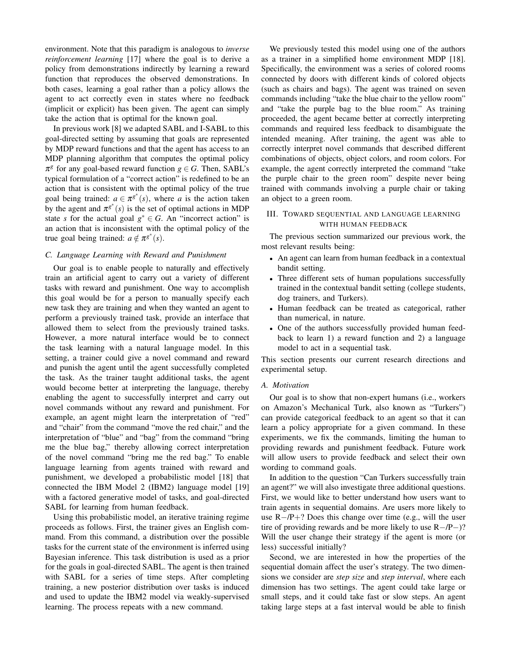environment. Note that this paradigm is analogous to *inverse reinforcement learning* [17] where the goal is to derive a policy from demonstrations indirectly by learning a reward function that reproduces the observed demonstrations. In both cases, learning a goal rather than a policy allows the agent to act correctly even in states where no feedback (implicit or explicit) has been given. The agent can simply take the action that is optimal for the known goal.

In previous work [8] we adapted SABL and I-SABL to this goal-directed setting by assuming that goals are represented by MDP reward functions and that the agent has access to an MDP planning algorithm that computes the optimal policy  $\pi^g$  for any goal-based reward function  $g \in G$ . Then, SABL's typical formulation of a "correct action" is redefined to be an action that is consistent with the optimal policy of the true goal being trained:  $a \in \pi^{g^*}(s)$ , where *a* is the action taken by the agent and  $\pi^{g^*}(s)$  is the set of optimal actions in MDP state *s* for the actual goal  $g^* \in G$ . An "incorrect action" is an action that is inconsistent with the optimal policy of the true goal being trained:  $a \notin \pi^{g^*}(s)$ .

#### *C. Language Learning with Reward and Punishment*

Our goal is to enable people to naturally and effectively train an artificial agent to carry out a variety of different tasks with reward and punishment. One way to accomplish this goal would be for a person to manually specify each new task they are training and when they wanted an agent to perform a previously trained task, provide an interface that allowed them to select from the previously trained tasks. However, a more natural interface would be to connect the task learning with a natural language model. In this setting, a trainer could give a novel command and reward and punish the agent until the agent successfully completed the task. As the trainer taught additional tasks, the agent would become better at interpreting the language, thereby enabling the agent to successfully interpret and carry out novel commands without any reward and punishment. For example, an agent might learn the interpretation of "red" and "chair" from the command "move the red chair," and the interpretation of "blue" and "bag" from the command "bring me the blue bag," thereby allowing correct interpretation of the novel command "bring me the red bag." To enable language learning from agents trained with reward and punishment, we developed a probabilistic model [18] that connected the IBM Model 2 (IBM2) language model [19] with a factored generative model of tasks, and goal-directed SABL for learning from human feedback.

Using this probabilistic model, an iterative training regime proceeds as follows. First, the trainer gives an English command. From this command, a distribution over the possible tasks for the current state of the environment is inferred using Bayesian inference. This task distribution is used as a prior for the goals in goal-directed SABL. The agent is then trained with SABL for a series of time steps. After completing training, a new posterior distribution over tasks is induced and used to update the IBM2 model via weakly-supervised learning. The process repeats with a new command.

We previously tested this model using one of the authors as a trainer in a simplified home environment MDP [18]. Specifically, the environment was a series of colored rooms connected by doors with different kinds of colored objects (such as chairs and bags). The agent was trained on seven commands including "take the blue chair to the yellow room" and "take the purple bag to the blue room." As training proceeded, the agent became better at correctly interpreting commands and required less feedback to disambiguate the intended meaning. After training, the agent was able to correctly interpret novel commands that described different combinations of objects, object colors, and room colors. For example, the agent correctly interpreted the command "take the purple chair to the green room" despite never being trained with commands involving a purple chair or taking an object to a green room.

# III. TOWARD SEQUENTIAL AND LANGUAGE LEARNING WITH HUMAN FEEDBACK

The previous section summarized our previous work, the most relevant results being:

- An agent can learn from human feedback in a contextual bandit setting.
- Three different sets of human populations successfully trained in the contextual bandit setting (college students, dog trainers, and Turkers).
- Human feedback can be treated as categorical, rather than numerical, in nature.
- One of the authors successfully provided human feedback to learn 1) a reward function and 2) a language model to act in a sequential task.

This section presents our current research directions and experimental setup.

## *A. Motivation*

Our goal is to show that non-expert humans (i.e., workers on Amazon's Mechanical Turk, also known as "Turkers") can provide categorical feedback to an agent so that it can learn a policy appropriate for a given command. In these experiments, we fix the commands, limiting the human to providing rewards and punishment feedback. Future work will allow users to provide feedback and select their own wording to command goals.

In addition to the question "Can Turkers successfully train an agent?" we will also investigate three additional questions. First, we would like to better understand how users want to train agents in sequential domains. Are users more likely to use R−/P+? Does this change over time (e.g., will the user tire of providing rewards and be more likely to use R−/P−)? Will the user change their strategy if the agent is more (or less) successful initially?

Second, we are interested in how the properties of the sequential domain affect the user's strategy. The two dimensions we consider are *step size* and *step interval*, where each dimension has two settings. The agent could take large or small steps, and it could take fast or slow steps. An agent taking large steps at a fast interval would be able to finish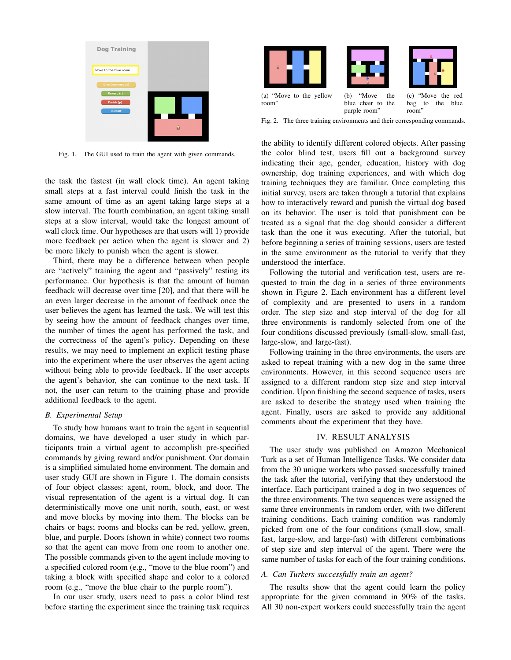

Fig. 1. The GUI used to train the agent with given commands.

the task the fastest (in wall clock time). An agent taking small steps at a fast interval could finish the task in the same amount of time as an agent taking large steps at a slow interval. The fourth combination, an agent taking small steps at a slow interval, would take the longest amount of wall clock time. Our hypotheses are that users will 1) provide more feedback per action when the agent is slower and 2) be more likely to punish when the agent is slower.

Third, there may be a difference between when people are "actively" training the agent and "passively" testing its performance. Our hypothesis is that the amount of human feedback will decrease over time [20], and that there will be an even larger decrease in the amount of feedback once the user believes the agent has learned the task. We will test this by seeing how the amount of feedback changes over time, the number of times the agent has performed the task, and the correctness of the agent's policy. Depending on these results, we may need to implement an explicit testing phase into the experiment where the user observes the agent acting without being able to provide feedback. If the user accepts the agent's behavior, she can continue to the next task. If not, the user can return to the training phase and provide additional feedback to the agent.

#### *B. Experimental Setup*

To study how humans want to train the agent in sequential domains, we have developed a user study in which participants train a virtual agent to accomplish pre-specified commands by giving reward and/or punishment. Our domain is a simplified simulated home environment. The domain and user study GUI are shown in Figure 1. The domain consists of four object classes: agent, room, block, and door. The visual representation of the agent is a virtual dog. It can deterministically move one unit north, south, east, or west and move blocks by moving into them. The blocks can be chairs or bags; rooms and blocks can be red, yellow, green, blue, and purple. Doors (shown in white) connect two rooms so that the agent can move from one room to another one. The possible commands given to the agent include moving to a specified colored room (e.g., "move to the blue room") and taking a block with specified shape and color to a colored room (e.g., "move the blue chair to the purple room").

In our user study, users need to pass a color blind test before starting the experiment since the training task requires



purple room" room"

Fig. 2. The three training environments and their corresponding commands.

the ability to identify different colored objects. After passing the color blind test, users fill out a background survey indicating their age, gender, education, history with dog ownership, dog training experiences, and with which dog training techniques they are familiar. Once completing this initial survey, users are taken through a tutorial that explains how to interactively reward and punish the virtual dog based on its behavior. The user is told that punishment can be treated as a signal that the dog should consider a different task than the one it was executing. After the tutorial, but before beginning a series of training sessions, users are tested in the same environment as the tutorial to verify that they understood the interface.

Following the tutorial and verification test, users are requested to train the dog in a series of three environments shown in Figure 2. Each environment has a different level of complexity and are presented to users in a random order. The step size and step interval of the dog for all three environments is randomly selected from one of the four conditions discussed previously (small-slow, small-fast, large-slow, and large-fast).

Following training in the three environments, the users are asked to repeat training with a new dog in the same three environments. However, in this second sequence users are assigned to a different random step size and step interval condition. Upon finishing the second sequence of tasks, users are asked to describe the strategy used when training the agent. Finally, users are asked to provide any additional comments about the experiment that they have.

#### IV. RESULT ANALYSIS

The user study was published on Amazon Mechanical Turk as a set of Human Intelligence Tasks. We consider data from the 30 unique workers who passed successfully trained the task after the tutorial, verifying that they understood the interface. Each participant trained a dog in two sequences of the three environments. The two sequences were assigned the same three environments in random order, with two different training conditions. Each training condition was randomly picked from one of the four conditions (small-slow, smallfast, large-slow, and large-fast) with different combinations of step size and step interval of the agent. There were the same number of tasks for each of the four training conditions.

# *A. Can Turkers successfully train an agent?*

The results show that the agent could learn the policy appropriate for the given command in 90% of the tasks. All 30 non-expert workers could successfully train the agent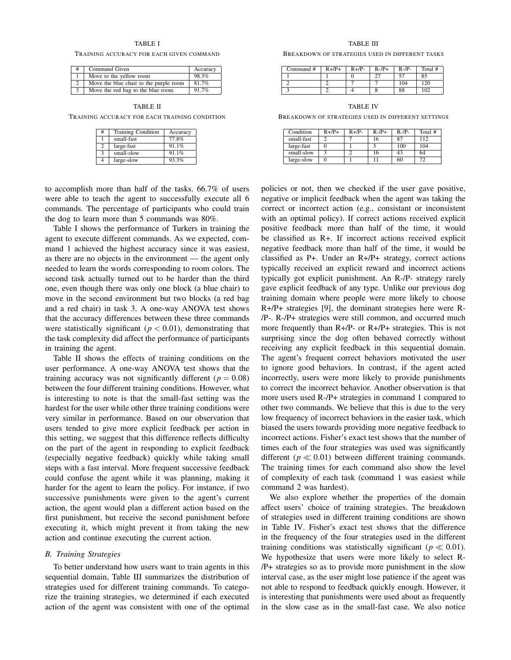## TABLE I

#### TRAINING ACCURACY FOR EACH GIVEN COMMAND

|  | Command Given                          | Accuracy |
|--|----------------------------------------|----------|
|  | Move to the yellow room                | 98.3%    |
|  | Move the blue chair to the purple room | 81.7%    |
|  | Move the red bag to the blue room      | 91.7%    |

TABLE II

TRAINING ACCURACY FOR EACH TRAINING CONDITION

| #             | <b>Training Condition</b> | Accuracy |
|---------------|---------------------------|----------|
|               | small-fast                | 77.8%    |
| 2             | large-fast                | 91.1%    |
| $\mathcal{R}$ | small-slow                | 91.1%    |
|               | large-slow                | 93.3%    |

to accomplish more than half of the tasks. 66.7% of users were able to teach the agent to successfully execute all 6 commands. The percentage of participants who could train the dog to learn more than 5 commands was 80%.

Table I shows the performance of Turkers in training the agent to execute different commands. As we expected, command 1 achieved the highest accuracy since it was easiest, as there are no objects in the environment — the agent only needed to learn the words corresponding to room colors. The second task actually turned out to be harder than the third one, even though there was only one block (a blue chair) to move in the second environment but two blocks (a red bag and a red chair) in task 3. A one-way ANOVA test shows that the accuracy differences between these three commands were statistically significant ( $p < 0.01$ ), demonstrating that the task complexity did affect the performance of participants in training the agent.

Table II shows the effects of training conditions on the user performance. A one-way ANOVA test shows that the training accuracy was not significantly different ( $p = 0.08$ ) between the four different training conditions. However, what is interesting to note is that the small-fast setting was the hardest for the user while other three training conditions were very similar in performance. Based on our observation that users tended to give more explicit feedback per action in this setting, we suggest that this difference reflects difficulty on the part of the agent in responding to explicit feedback (especially negative feedback) quickly while taking small steps with a fast interval. More frequent successive feedback could confuse the agent while it was planning, making it harder for the agent to learn the policy. For instance, if two successive punishments were given to the agent's current action, the agent would plan a different action based on the first punishment, but receive the second punishment before executing it, which might prevent it from taking the new action and continue executing the current action.

## *B. Training Strategies*

To better understand how users want to train agents in this sequential domain, Table III summarizes the distribution of strategies used for different training commands. To categorize the training strategies, we determined if each executed action of the agent was consistent with one of the optimal

TABLE III

BREAKDOWN OF STRATEGIES USED IN DIFFERENT TASKS

| Command # | $R+/P+$ | $R+/P-$ | $R - /P +$ | $R$ -/P- | Total # |
|-----------|---------|---------|------------|----------|---------|
|           |         |         | າສ         |          | 85      |
|           |         |         |            | 104      | 120     |
|           |         |         |            | 88       | 102     |

TABLE IV

BREAKDOWN OF STRATEGIES USED IN DIFFERENT SETTINGS

| Condition  | $R+/P+$ | $R+/P-$ | $R$ -/ $P+$ | $R-P-$ | Total # |
|------------|---------|---------|-------------|--------|---------|
| small-fast |         |         | 16          | 87     | 112     |
| large-fast |         |         |             | 100    | 104     |
| small-slow |         |         | 16          | 43     | 64      |
| large-slow |         |         |             | 60     | 72      |

policies or not, then we checked if the user gave positive, negative or implicit feedback when the agent was taking the correct or incorrect action (e.g., consistant or inconsistent with an optimal policy). If correct actions received explicit positive feedback more than half of the time, it would be classified as R+. If incorrect actions received explicit negative feedback more than half of the time, it would be classified as P+. Under an R+/P+ strategy, correct actions typically received an explicit reward and incorrect actions typically got explicit punishment. An R-/P- strategy rarely gave explicit feedback of any type. Unlike our previous dog training domain where people were more likely to choose R+/P+ strategies [9], the dominant strategies here were R- /P-. R-/P+ strategies were still common, and occurred much more frequently than R+/P- or R+/P+ strategies. This is not surprising since the dog often behaved correctly without receiving any explicit feedback in this sequential domain. The agent's frequent correct behaviors motivated the user to ignore good behaviors. In contrast, if the agent acted incorrectly, users were more likely to provide punishments to correct the incorrect behavior. Another observation is that more users used R-/P+ strategies in command 1 compared to other two commands. We believe that this is due to the very low frequency of incorrect behaviors in the easier task, which biased the users towards providing more negative feedback to incorrect actions. Fisher's exact test shows that the number of times each of the four strategies was used was significantly different ( $p \ll 0.01$ ) between different training commands. The training times for each command also show the level of complexity of each task (command 1 was easiest while command 2 was hardest).

We also explore whether the properties of the domain affect users' choice of training strategies. The breakdown of strategies used in different training conditions are shown in Table IV. Fisher's exact test shows that the difference in the frequency of the four strategies used in the different training conditions was statistically significant ( $p \ll 0.01$ ). We hypothesize that users were more likely to select R- /P+ strategies so as to provide more punishment in the slow interval case, as the user might lose patience if the agent was not able to respond to feedback quickly enough. However, it is interesting that punishments were used about as frequently in the slow case as in the small-fast case. We also notice